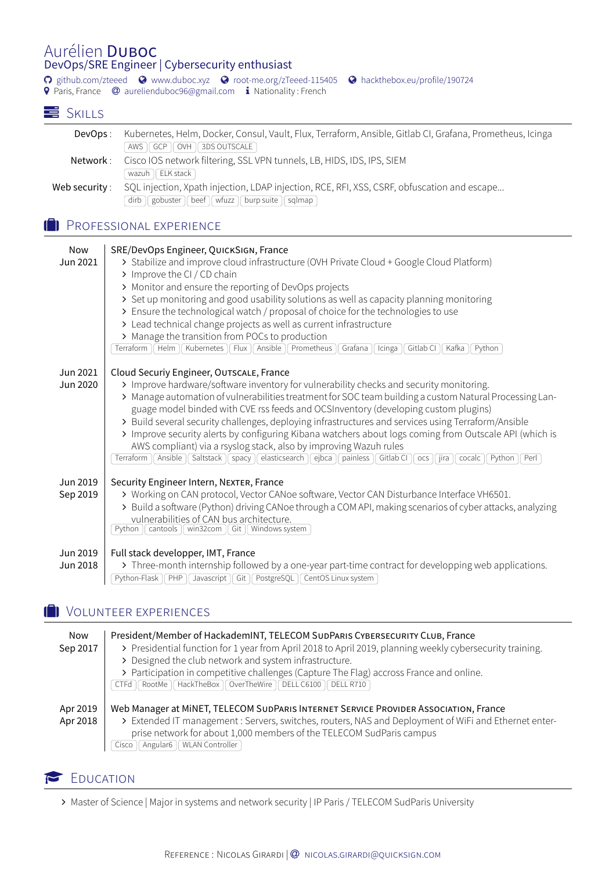## Aurélien DUBOC DevOps/SRE Engineer | Cybersecurity enthusiast

� [github.com/zteeed](https://www.github.com/zteeed) � [www.duboc.xyz](https://www.duboc.xyz) � [root-me.org/zTeeed-115405](http://root-me.org/zTeeed-115405) � [hackthebox.eu/profile/190724](https://hackthebox.eu/profile/190724) **9** Paris, France @ [aurelienduboc96@gmail.com](mailto:aurelienduboc96@gmail.com) **i** Nationality : French

## SKILLS

| DevOps :       | Kubernetes, Helm, Docker, Consul, Vault, Flux, Terraform, Ansible, Gitlab CI, Grafana, Prometheus, Icinga                     |
|----------------|-------------------------------------------------------------------------------------------------------------------------------|
|                | $AWS$ $\mid$ GCP $\mid$ OVH $\mid$ 3DS OUTSCALE $\mid$                                                                        |
| Network :      | Cisco IOS network filtering, SSL VPN tunnels, LB, HIDS, IDS, IPS, SIEM                                                        |
|                | wazuh $  $ ELK stack $  $                                                                                                     |
| Web security : | SQL injection, Xpath injection, LDAP injection, RCE, RFI, XSS, CSRF, obfuscation and escape                                   |
|                | $\left[\right]$ gobuster $\left[\right]$ beef $\left[\right]$ wfuzz $\left[\right]$ burp suite $\left[\right]$ sqlmap<br>dirb |

#### **1** PROFESSIONAL EXPERIENCE

| <b>Now</b> | SRE/DevOps Engineer, QUICKSIGN, France                                                                                                |
|------------|---------------------------------------------------------------------------------------------------------------------------------------|
| Jun 2021   | > Stabilize and improve cloud infrastructure (OVH Private Cloud + Google Cloud Platform)                                              |
|            | > Improve the CI / CD chain                                                                                                           |
|            | > Monitor and ensure the reporting of DevOps projects                                                                                 |
|            | > Set up monitoring and good usability solutions as well as capacity planning monitoring                                              |
|            | > Ensure the technological watch / proposal of choice for the technologies to use                                                     |
|            | > Lead technical change projects as well as current infrastructure                                                                    |
|            | > Manage the transition from POCs to production                                                                                       |
|            | Kubernetes    Flux    Ansible    Prometheus<br>Helm<br>Grafana<br>Gitlab CI<br>Kafka<br>Python<br>Terraform<br>Icinga                 |
|            |                                                                                                                                       |
| Jun 2021   | Cloud Securiy Engineer, OUTSCALE, France                                                                                              |
| Jun 2020   | > Improve hardware/software inventory for vulnerability checks and security monitoring.                                               |
|            | > Manage automation of vulnerabilities treatment for SOC team building a custom Natural Processing Lan-                               |
|            | guage model binded with CVE rss feeds and OCSInventory (developing custom plugins)                                                    |
|            | > Build several security challenges, deploying infrastructures and services using Terraform/Ansible                                   |
|            | > Improve security alerts by configuring Kibana watchers about logs coming from Outscale API (which is                                |
|            | AWS compliant) via a rsyslog stack, also by improving Wazuh rules                                                                     |
|            | elasticsearch   ejbca   painless  <br>Terraform   Ansible   Saltstack   spacy<br>Gitlab CI<br>jira<br>Python<br>Perl<br>OCS<br>cocalc |
| Jun 2019   | Security Engineer Intern, NEXTER, France                                                                                              |
| Sep 2019   | > Working on CAN protocol, Vector CANoe software, Vector CAN Disturbance Interface VH6501.                                            |
|            | > Build a software (Python) driving CANoe through a COM API, making scenarios of cyber attacks, analyzing                             |
|            | vulnerabilities of CAN bus architecture.                                                                                              |
|            | Windows system<br>cantools   <br>win32 $com$<br>Python<br>Git                                                                         |
|            |                                                                                                                                       |
| Jun 2019   | Full stack developper, IMT, France                                                                                                    |
| Jun 2018   | > Three-month internship followed by a one-year part-time contract for developping web applications.                                  |
|            | Python-Flask   PHP   Javascript   Git   PostgreSQL   CentOS Linux system                                                              |

# **D** VOLUNTEER EXPERIENCES

| Now      | President/Member of HackademINT, TELECOM SUDPARIS CYBERSECURITY CLUB, France                              |
|----------|-----------------------------------------------------------------------------------------------------------|
| Sep 2017 | > Presidential function for 1 year from April 2018 to April 2019, planning weekly cybersecurity training. |
|          | > Designed the club network and system infrastructure.                                                    |
|          | > Participation in competitive challenges (Capture The Flag) accross France and online.                   |
|          | RootMe   HackTheBox   OverTheWire   DELL C6100<br>$\parallel$ DELL R710<br><b>CTFd</b>                    |
|          |                                                                                                           |
| Apr 2019 | Web Manager at MINET, TELECOM SUDPARIS INTERNET SERVICE PROVIDER ASSOCIATION, France                      |
| Apr 2018 | > Extended IT management : Servers, switches, routers, NAS and Deployment of WiFi and Ethernet enter-     |
|          | prise network for about 1,000 members of the TELECOM SudParis campus                                      |
|          | WLAN Controller<br>Angular <sub>6</sub><br>Cisco                                                          |

### EDUCATION

∠ Master of Science | Major in systems and network security | IP Paris / TELECOM SudParis University